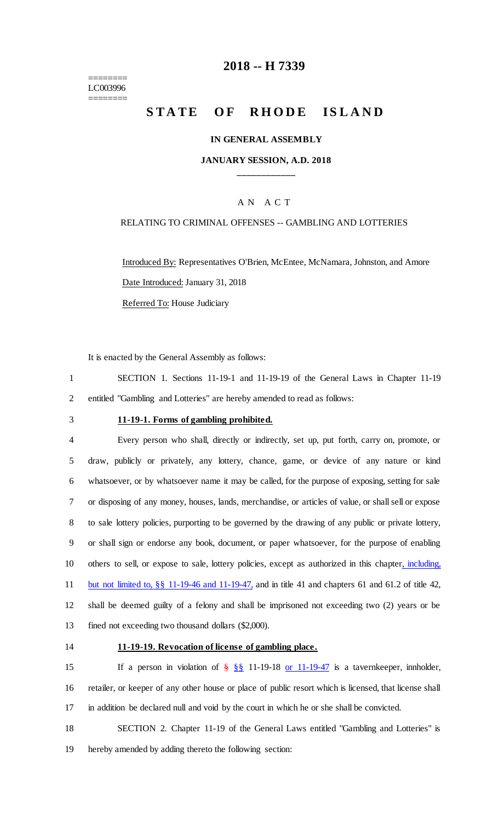======== LC003996 ========

### **2018 -- H 7339**

# **STATE OF RHODE ISLAND**

### **IN GENERAL ASSEMBLY**

### **JANUARY SESSION, A.D. 2018 \_\_\_\_\_\_\_\_\_\_\_\_**

### A N A C T

### RELATING TO CRIMINAL OFFENSES -- GAMBLING AND LOTTERIES

Introduced By: Representatives O'Brien, McEntee, McNamara, Johnston, and Amore Date Introduced: January 31, 2018 Referred To: House Judiciary

It is enacted by the General Assembly as follows:

1 SECTION 1. Sections 11-19-1 and 11-19-19 of the General Laws in Chapter 11-19 2 entitled "Gambling and Lotteries" are hereby amended to read as follows:

### 3 **11-19-1. Forms of gambling prohibited.**

 Every person who shall, directly or indirectly, set up, put forth, carry on, promote, or draw, publicly or privately, any lottery, chance, game, or device of any nature or kind whatsoever, or by whatsoever name it may be called, for the purpose of exposing, setting for sale or disposing of any money, houses, lands, merchandise, or articles of value, or shall sell or expose to sale lottery policies, purporting to be governed by the drawing of any public or private lottery, or shall sign or endorse any book, document, or paper whatsoever, for the purpose of enabling 10 others to sell, or expose to sale, lottery policies, except as authorized in this chapter, including, but not limited to, §§ 11-19-46 and 11-19-47, and in title 41 and chapters 61 and 61.2 of title 42, shall be deemed guilty of a felony and shall be imprisoned not exceeding two (2) years or be fined not exceeding two thousand dollars (\$2,000).

### 14 **11-19-19. Revocation of license of gambling place.**

15 If a person in violation of  $\frac{8}{5}$   $\frac{8}{5}$  11-19-18 or 11-19-47 is a tavernice per, innholder, 16 retailer, or keeper of any other house or place of public resort which is licensed, that license shall 17 in addition be declared null and void by the court in which he or she shall be convicted.

18 SECTION 2. Chapter 11-19 of the General Laws entitled "Gambling and Lotteries" is 19 hereby amended by adding thereto the following section: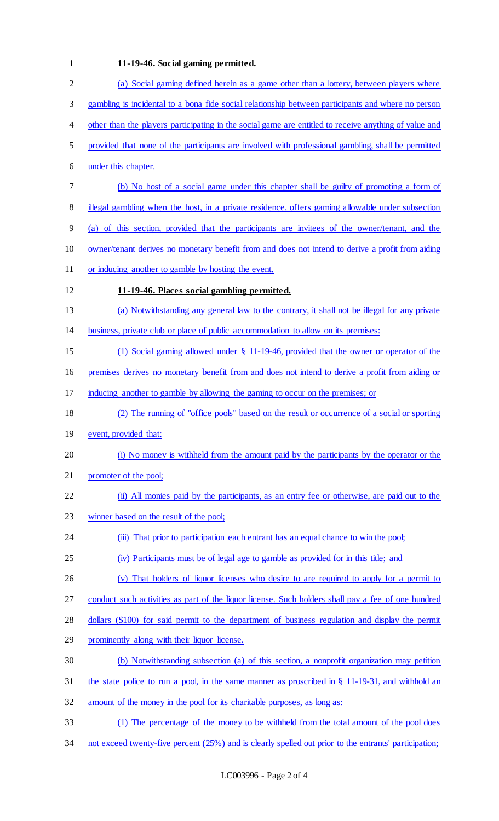## **11-19-46. Social gaming permitted.**

| $\mathbf{2}$ | (a) Social gaming defined herein as a game other than a lottery, between players where                |
|--------------|-------------------------------------------------------------------------------------------------------|
| 3            | gambling is incidental to a bona fide social relationship between participants and where no person    |
| 4            | other than the players participating in the social game are entitled to receive anything of value and |
| 5            | provided that none of the participants are involved with professional gambling, shall be permitted    |
| 6            | under this chapter.                                                                                   |
| 7            | (b) No host of a social game under this chapter shall be guilty of promoting a form of                |
| 8            | illegal gambling when the host, in a private residence, offers gaming allowable under subsection      |
| 9            | (a) of this section, provided that the participants are invitees of the owner/tenant, and the         |
| 10           | owner/tenant derives no monetary benefit from and does not intend to derive a profit from aiding      |
| 11           | or inducing another to gamble by hosting the event.                                                   |
| 12           | 11-19-46. Places social gambling permitted.                                                           |
| 13           | (a) Notwithstanding any general law to the contrary, it shall not be illegal for any private          |
| 14           | business, private club or place of public accommodation to allow on its premises:                     |
| 15           | (1) Social gaming allowed under $\S$ 11-19-46, provided that the owner or operator of the             |
| 16           | premises derives no monetary benefit from and does not intend to derive a profit from aiding or       |
| 17           | inducing another to gamble by allowing the gaming to occur on the premises; or                        |
| 18           | (2) The running of "office pools" based on the result or occurrence of a social or sporting           |
| 19           | event, provided that:                                                                                 |
| 20           | (i) No money is withheld from the amount paid by the participants by the operator or the              |
| 21           | promoter of the pool;                                                                                 |
| 22           | (ii) All monies paid by the participants, as an entry fee or otherwise, are paid out to the           |
| 23           | winner based on the result of the pool;                                                               |
| 24           | (iii) That prior to participation each entrant has an equal chance to win the pool;                   |
| 25           | (iv) Participants must be of legal age to gamble as provided for in this title; and                   |
| 26           | (v) That holders of liquor licenses who desire to are required to apply for a permit to               |
| 27           | conduct such activities as part of the liquor license. Such holders shall pay a fee of one hundred    |
| 28           | dollars (\$100) for said permit to the department of business regulation and display the permit       |
| 29           | prominently along with their liquor license.                                                          |
| 30           | (b) Notwithstanding subsection (a) of this section, a nonprofit organization may petition             |
| 31           | the state police to run a pool, in the same manner as proscribed in $\S$ 11-19-31, and withhold an    |
| 32           | amount of the money in the pool for its charitable purposes, as long as:                              |
| 33           | (1) The percentage of the money to be withheld from the total amount of the pool does                 |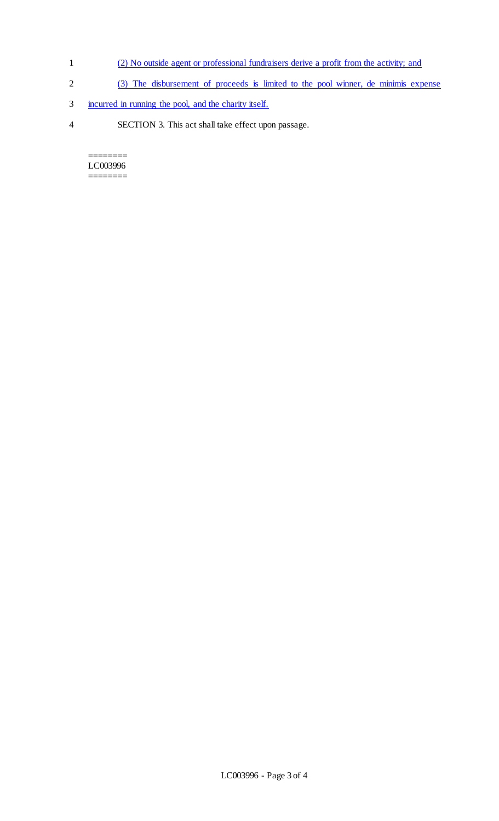- 1 (2) No outside agent or professional fundraisers derive a profit from the activity; and
- 2 (3) The disbursement of proceeds is limited to the pool winner, de minimis expense
- 3 incurred in running the pool, and the charity itself.
- 4 SECTION 3. This act shall take effect upon passage.

======== LC003996 ========